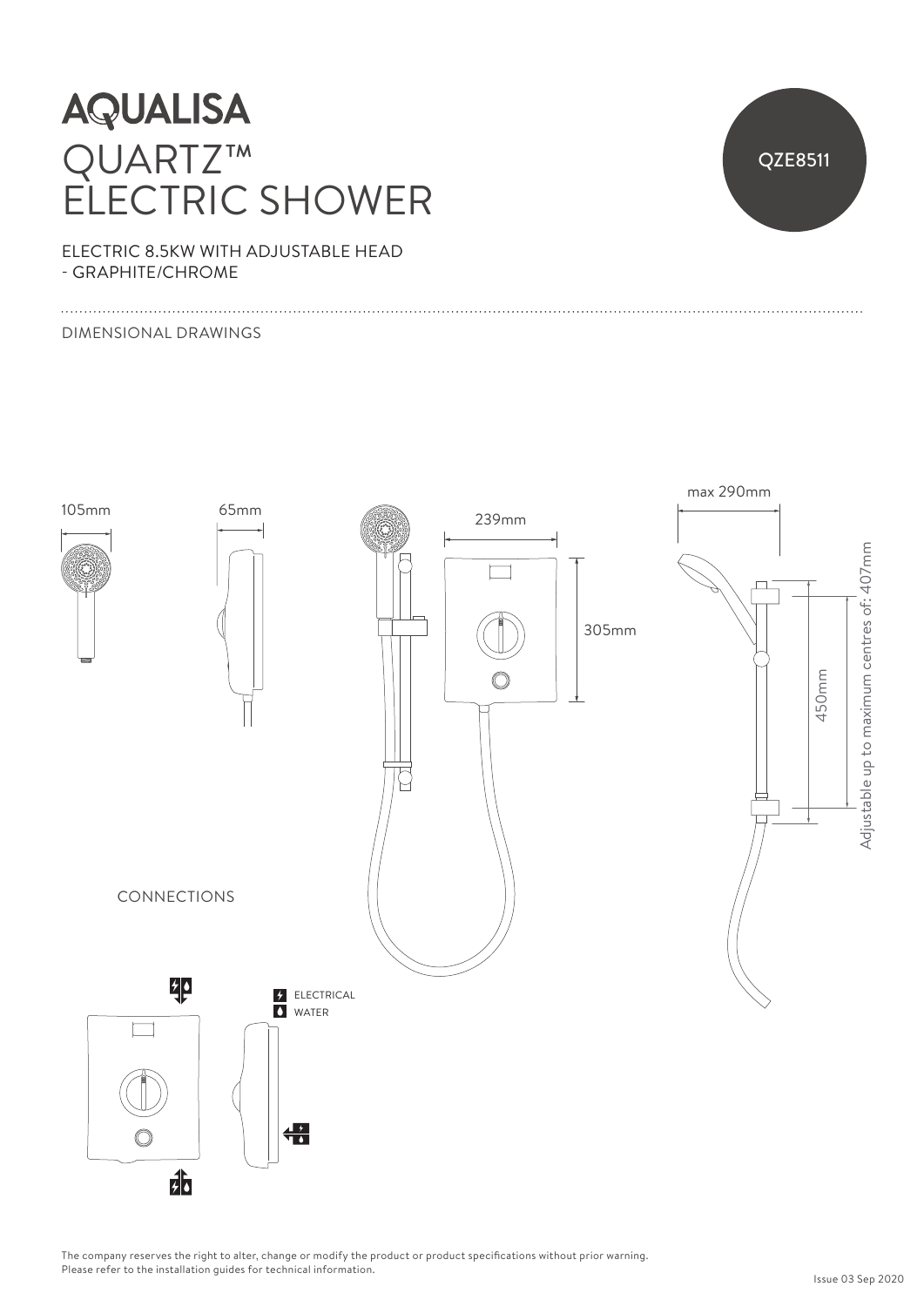## **AQUALISA** QUARTZ™ ELECTRIC SHOWER



ELECTRIC 8.5KW WITH ADJUSTABLE HEAD - GRAPHITE/CHROME

#### DIMENSIONAL DRAWINGS



The company reserves the right to alter, change or modify the product or product specifications without prior warning. Please refer to the installation guides for technical information.